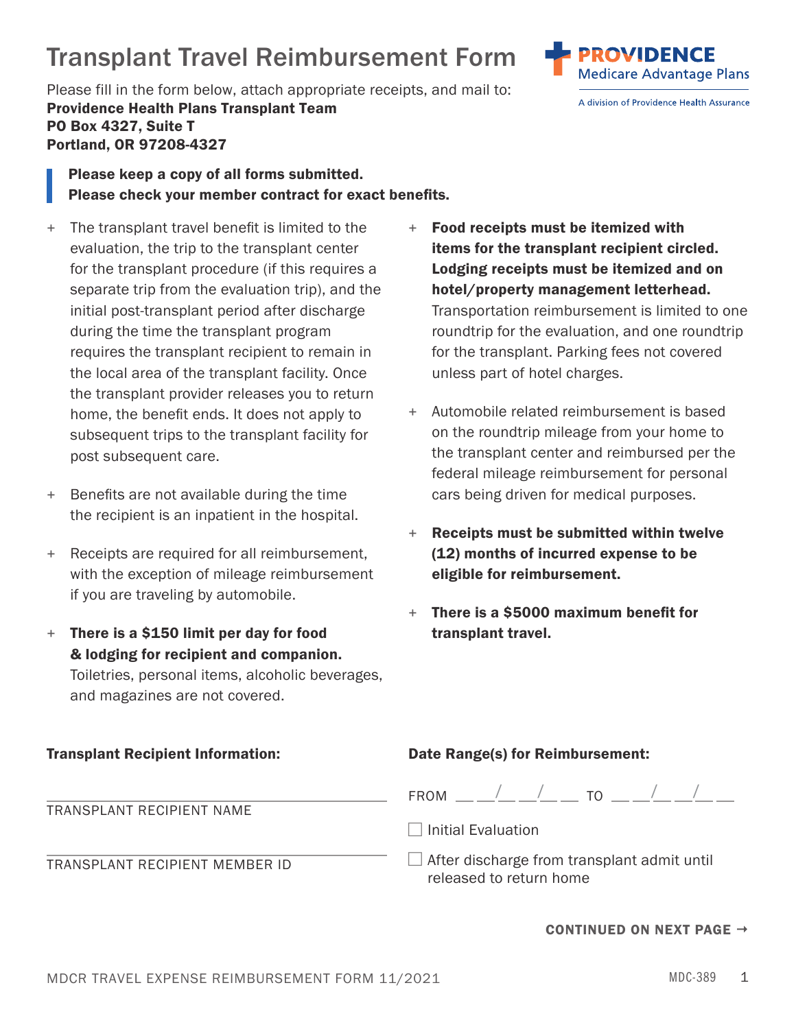## MDCR TRAVEL EXPENSE REIMBURSEMENT FORM 11/2021 MDC-389 MDC-389 1

## Transplant Travel Reimbursement Form

 Please fill in the form below, attach appropriate receipts, and mail to: Providence Health Plans Transplant Team PO Box 4327, Suite T Portland, OR 97208-4327

Please keep a copy of all forms submitted. Please check your member contract for exact benefits.

- + The transplant travel benefit is limited to the  $+$  Food receipts must be itemized with evaluation, the trip to the transplant center **items for the transplant recipient circled.** for the transplant procedure (if this requires a **Lodging receipts must be itemized and on** separate trip from the evaluation trip), and the **hotel/property management letterhead.** requires the transplant recipient to remain in for the transplant. Parking fees not covered the local area of the transplant facility. Once unless part of hotel charges. the transplant provider releases you to return
- + Benefits are not available during the time cars being driven for medical purposes. the recipient is an inpatient in the hospital.
- + Receipts are required for all reimbursement. (12) months of incurred expense to be with the exception of mileage reimbursement **eligible for reimbursement.** if you are traveling by automobile.
- & lodging for recipient and companion.  $+$  There is a \$150 limit per day for food transplant travel. Toiletries, personal items, alcoholic beverages, and magazines are not covered.
- initial post-transplant period after discharge Transportation reimbursement is limited to one during the time the transplant program roundtrip for the evaluation, and one roundtrip
- home, the benefit ends. It does not apply to  $+$  Automobile related reimbursement is based subsequent trips to the transplant facility for on the roundtrip mileage from your home to post subsequent care. the transplant center and reimbursed per the federal mileage reimbursement for personal
	- + Receipts must be submitted within twelve
	- + There is a \$5000 maximum benefit for

| <b>Transplant Recipient Information:</b> | Date Range(s) for Reimbursement:                                              |
|------------------------------------------|-------------------------------------------------------------------------------|
| TRANSPLANT RECIPIENT NAME                | FROM _____/__ __/__ __ TO _____/__ _/__ __                                    |
|                                          | $\Box$ Initial Evaluation                                                     |
| TRANSPLANT RECIPIENT MEMBER ID           | $\Box$ After discharge from transplant admit until<br>released to return home |

## CONTINUED ON NEXT PAGE  $\rightarrow$



A division of Providence Health Assurance